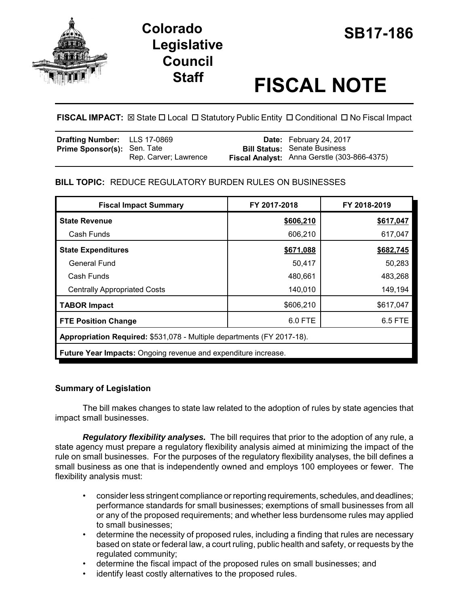

# **SB17-186 Colorado Legislative Council**

# **Staff FISCAL NOTE**

**FISCAL IMPACT:** ⊠ State  $\Box$  Local  $\Box$  Statutory Public Entity  $\Box$  Conditional  $\Box$  No Fiscal Impact

| <b>Drafting Number:</b> LLS 17-0869 |                       | Date: February 24, 2017                     |
|-------------------------------------|-----------------------|---------------------------------------------|
| <b>Prime Sponsor(s): Sen. Tate</b>  |                       | <b>Bill Status:</b> Senate Business         |
|                                     | Rep. Carver; Lawrence | Fiscal Analyst: Anna Gerstle (303-866-4375) |

## **BILL TOPIC:** REDUCE REGULATORY BURDEN RULES ON BUSINESSES

| <b>Fiscal Impact Summary</b>                                           | FY 2017-2018 | FY 2018-2019 |  |  |  |
|------------------------------------------------------------------------|--------------|--------------|--|--|--|
| <b>State Revenue</b>                                                   | \$606,210    | \$617,047    |  |  |  |
| Cash Funds                                                             | 606,210      | 617,047      |  |  |  |
| <b>State Expenditures</b>                                              | \$671,088    | \$682,745    |  |  |  |
| General Fund                                                           | 50,417       | 50,283       |  |  |  |
| Cash Funds                                                             | 480,661      | 483,268      |  |  |  |
| <b>Centrally Appropriated Costs</b>                                    | 140,010      | 149,194      |  |  |  |
| <b>TABOR Impact</b>                                                    | \$606,210    | \$617,047    |  |  |  |
| <b>FTE Position Change</b>                                             | 6.0 FTE      | 6.5 FTE      |  |  |  |
| Appropriation Required: \$531,078 - Multiple departments (FY 2017-18). |              |              |  |  |  |
| Future Year Impacts: Ongoing revenue and expenditure increase.         |              |              |  |  |  |

## **Summary of Legislation**

The bill makes changes to state law related to the adoption of rules by state agencies that impact small businesses.

*Regulatory flexibility analyses.* The bill requires that prior to the adoption of any rule, a state agency must prepare a regulatory flexibility analysis aimed at minimizing the impact of the rule on small businesses. For the purposes of the regulatory flexibility analyses, the bill defines a small business as one that is independently owned and employs 100 employees or fewer. The flexibility analysis must:

- consider less stringent compliance or reporting requirements, schedules, and deadlines; performance standards for small businesses; exemptions of small businesses from all or any of the proposed requirements; and whether less burdensome rules may applied to small businesses;
- determine the necessity of proposed rules, including a finding that rules are necessary based on state or federal law, a court ruling, public health and safety, or requests by the regulated community;
- determine the fiscal impact of the proposed rules on small businesses; and
- identify least costly alternatives to the proposed rules.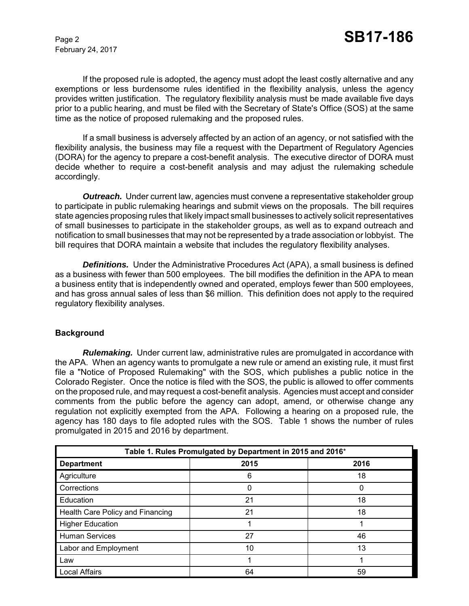February 24, 2017

If the proposed rule is adopted, the agency must adopt the least costly alternative and any exemptions or less burdensome rules identified in the flexibility analysis, unless the agency provides written justification. The regulatory flexibility analysis must be made available five days prior to a public hearing, and must be filed with the Secretary of State's Office (SOS) at the same time as the notice of proposed rulemaking and the proposed rules.

If a small business is adversely affected by an action of an agency, or not satisfied with the flexibility analysis, the business may file a request with the Department of Regulatory Agencies (DORA) for the agency to prepare a cost-benefit analysis. The executive director of DORA must decide whether to require a cost-benefit analysis and may adjust the rulemaking schedule accordingly.

*Outreach.* Under current law, agencies must convene a representative stakeholder group to participate in public rulemaking hearings and submit views on the proposals. The bill requires state agencies proposing rules that likely impact small businesses to actively solicit representatives of small businesses to participate in the stakeholder groups, as well as to expand outreach and notification to small businesses that may not be represented by a trade association or lobbyist. The bill requires that DORA maintain a website that includes the regulatory flexibility analyses.

**Definitions.** Under the Administrative Procedures Act (APA), a small business is defined as a business with fewer than 500 employees. The bill modifies the definition in the APA to mean a business entity that is independently owned and operated, employs fewer than 500 employees, and has gross annual sales of less than \$6 million. This definition does not apply to the required regulatory flexibility analyses.

#### **Background**

*Rulemaking.* Under current law, administrative rules are promulgated in accordance with the APA. When an agency wants to promulgate a new rule or amend an existing rule, it must first file a "Notice of Proposed Rulemaking" with the SOS, which publishes a public notice in the Colorado Register. Once the notice is filed with the SOS, the public is allowed to offer comments on the proposed rule, and may request a cost-benefit analysis. Agencies must accept and consider comments from the public before the agency can adopt, amend, or otherwise change any regulation not explicitly exempted from the APA. Following a hearing on a proposed rule, the agency has 180 days to file adopted rules with the SOS. Table 1 shows the number of rules promulgated in 2015 and 2016 by department.

| Table 1. Rules Promulgated by Department in 2015 and 2016* |      |      |  |  |
|------------------------------------------------------------|------|------|--|--|
| <b>Department</b>                                          | 2015 | 2016 |  |  |
| Agriculture                                                | 6    | 18   |  |  |
| Corrections                                                | 0    | 0    |  |  |
| Education                                                  | 21   | 18   |  |  |
| Health Care Policy and Financing                           | 21   | 18   |  |  |
| <b>Higher Education</b>                                    |      |      |  |  |
| <b>Human Services</b>                                      | 27   | 46   |  |  |
| Labor and Employment                                       | 10   | 13   |  |  |
| Law                                                        |      |      |  |  |
| Local Affairs                                              | 64   | 59   |  |  |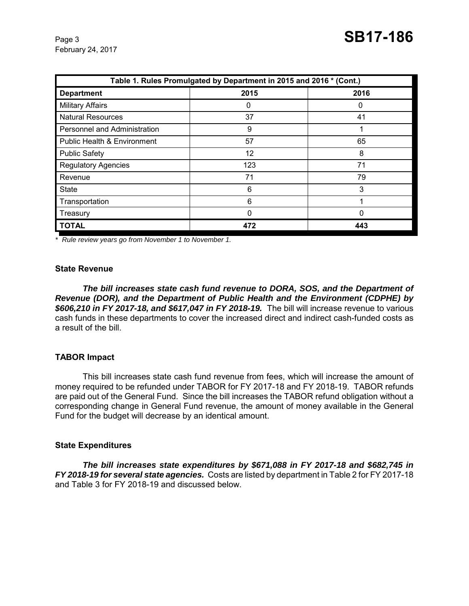February 24, 2017

| Table 1. Rules Promulgated by Department in 2015 and 2016 * (Cont.) |          |      |  |  |  |
|---------------------------------------------------------------------|----------|------|--|--|--|
| <b>Department</b>                                                   | 2015     | 2016 |  |  |  |
| <b>Military Affairs</b>                                             | 0        | 0    |  |  |  |
| <b>Natural Resources</b>                                            | 37       | 41   |  |  |  |
| Personnel and Administration                                        | 9        |      |  |  |  |
| <b>Public Health &amp; Environment</b>                              | 57       | 65   |  |  |  |
| <b>Public Safety</b>                                                | 12       | 8    |  |  |  |
| <b>Regulatory Agencies</b>                                          | 123      | 71   |  |  |  |
| Revenue                                                             | 71       | 79   |  |  |  |
| <b>State</b>                                                        | 6        | 3    |  |  |  |
| Transportation                                                      | 6        |      |  |  |  |
| Treasury                                                            | $\Omega$ | 0    |  |  |  |
| <b>TOTAL</b>                                                        | 472      | 443  |  |  |  |

*\* Rule review years go from November 1 to November 1.* 

#### **State Revenue**

*The bill increases state cash fund revenue to DORA, SOS, and the Department of Revenue (DOR), and the Department of Public Health and the Environment (CDPHE) by \$606,210 in FY 2017-18, and \$617,047 in FY 2018-19.* The bill will increase revenue to various cash funds in these departments to cover the increased direct and indirect cash-funded costs as a result of the bill.

#### **TABOR Impact**

This bill increases state cash fund revenue from fees, which will increase the amount of money required to be refunded under TABOR for FY 2017-18 and FY 2018-19. TABOR refunds are paid out of the General Fund. Since the bill increases the TABOR refund obligation without a corresponding change in General Fund revenue, the amount of money available in the General Fund for the budget will decrease by an identical amount.

#### **State Expenditures**

*The bill increases state expenditures by \$671,088 in FY 2017-18 and \$682,745 in FY 2018-19 for several state agencies.* Costs are listed by department in Table 2 for FY 2017-18 and Table 3 for FY 2018-19 and discussed below.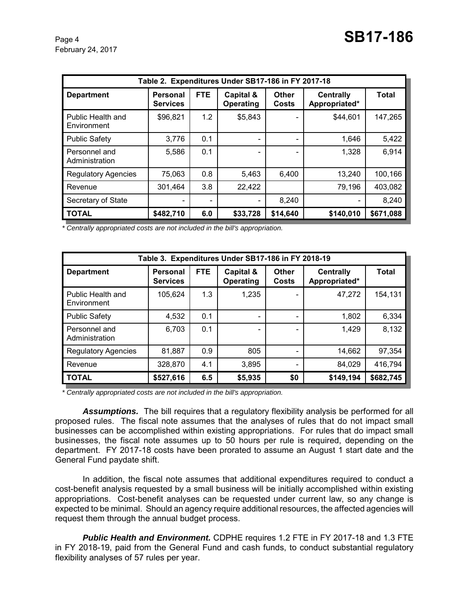| Table 2. Expenditures Under SB17-186 in FY 2017-18 |                                    |            |                          |                       |                                   |           |
|----------------------------------------------------|------------------------------------|------------|--------------------------|-----------------------|-----------------------------------|-----------|
| <b>Department</b>                                  | <b>Personal</b><br><b>Services</b> | <b>FTE</b> | Capital &<br>Operating   | Other<br><b>Costs</b> | <b>Centrally</b><br>Appropriated* | Total     |
| Public Health and<br>Environment                   | \$96,821                           | 1.2        | \$5,843                  |                       | \$44,601                          | 147,265   |
| <b>Public Safety</b>                               | 3,776                              | 0.1        | $\overline{\phantom{a}}$ |                       | 1,646                             | 5,422     |
| Personnel and<br>Administration                    | 5,586                              | 0.1        |                          |                       | 1,328                             | 6,914     |
| <b>Regulatory Agencies</b>                         | 75,063                             | 0.8        | 5,463                    | 6,400                 | 13,240                            | 100,166   |
| Revenue                                            | 301,464                            | 3.8        | 22,422                   |                       | 79,196                            | 403,082   |
| Secretary of State                                 |                                    |            | $\overline{\phantom{a}}$ | 8,240                 |                                   | 8,240     |
| <b>TOTAL</b>                                       | \$482,710                          | 6.0        | \$33,728                 | \$14,640              | \$140,010                         | \$671,088 |

*\* Centrally appropriated costs are not included in the bill's appropriation.*

| Table 3. Expenditures Under SB17-186 in FY 2018-19 |                                    |            |                          |                |                                   |           |
|----------------------------------------------------|------------------------------------|------------|--------------------------|----------------|-----------------------------------|-----------|
| <b>Department</b>                                  | <b>Personal</b><br><b>Services</b> | <b>FTE</b> | Capital &<br>Operating   | Other<br>Costs | <b>Centrally</b><br>Appropriated* | Total     |
| Public Health and<br>Environment                   | 105,624                            | 1.3        | 1,235                    |                | 47,272                            | 154,131   |
| <b>Public Safety</b>                               | 4,532                              | 0.1        | $\overline{\phantom{a}}$ |                | 1,802                             | 6,334     |
| Personnel and<br>Administration                    | 6,703                              | 0.1        | $\overline{\phantom{a}}$ |                | 1,429                             | 8,132     |
| <b>Regulatory Agencies</b>                         | 81,887                             | 0.9        | 805                      |                | 14,662                            | 97,354    |
| Revenue                                            | 328,870                            | 4.1        | 3,895                    |                | 84,029                            | 416,794   |
| <b>TOTAL</b>                                       | \$527,616                          | 6.5        | \$5,935                  | \$0            | \$149,194                         | \$682,745 |

*\* Centrally appropriated costs are not included in the bill's appropriation.*

*Assumptions.* The bill requires that a regulatory flexibility analysis be performed for all proposed rules. The fiscal note assumes that the analyses of rules that do not impact small businesses can be accomplished within existing appropriations. For rules that do impact small businesses, the fiscal note assumes up to 50 hours per rule is required, depending on the department. FY 2017-18 costs have been prorated to assume an August 1 start date and the General Fund paydate shift.

In addition, the fiscal note assumes that additional expenditures required to conduct a cost-benefit analysis requested by a small business will be initially accomplished within existing appropriations. Cost-benefit analyses can be requested under current law, so any change is expected to be minimal. Should an agency require additional resources, the affected agencies will request them through the annual budget process.

*Public Health and Environment.* CDPHE requires 1.2 FTE in FY 2017-18 and 1.3 FTE in FY 2018-19, paid from the General Fund and cash funds, to conduct substantial regulatory flexibility analyses of 57 rules per year.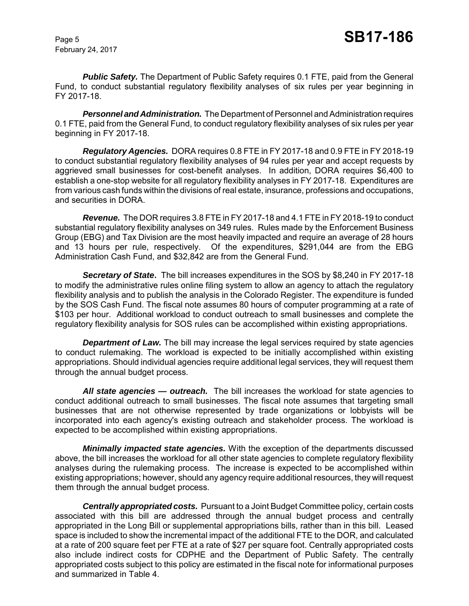February 24, 2017

**Public Safety.** The Department of Public Safety requires 0.1 FTE, paid from the General Fund, to conduct substantial regulatory flexibility analyses of six rules per year beginning in FY 2017-18.

*Personnel and Administration.* The Department of Personnel and Administration requires 0.1 FTE, paid from the General Fund, to conduct regulatory flexibility analyses of six rules per year beginning in FY 2017-18.

*Regulatory Agencies.* DORA requires 0.8 FTE in FY 2017-18 and 0.9 FTE in FY 2018-19 to conduct substantial regulatory flexibility analyses of 94 rules per year and accept requests by aggrieved small businesses for cost-benefit analyses. In addition, DORA requires \$6,400 to establish a one-stop website for all regulatory flexibility analyses in FY 2017-18.Expenditures are from various cash funds within the divisions of real estate, insurance, professions and occupations, and securities in DORA.

*Revenue.* The DOR requires 3.8 FTE in FY 2017-18 and 4.1 FTE in FY 2018-19 to conduct substantial regulatory flexibility analyses on 349 rules. Rules made by the Enforcement Business Group (EBG) and Tax Division are the most heavily impacted and require an average of 28 hours and 13 hours per rule, respectively. Of the expenditures, \$291,044 are from the EBG Administration Cash Fund, and \$32,842 are from the General Fund.

*Secretary of State***.** The bill increases expenditures in the SOS by \$8,240 in FY 2017-18 to modify the administrative rules online filing system to allow an agency to attach the regulatory flexibility analysis and to publish the analysis in the Colorado Register. The expenditure is funded by the SOS Cash Fund. The fiscal note assumes 80 hours of computer programming at a rate of \$103 per hour. Additional workload to conduct outreach to small businesses and complete the regulatory flexibility analysis for SOS rules can be accomplished within existing appropriations.

**Department of Law.** The bill may increase the legal services required by state agencies to conduct rulemaking. The workload is expected to be initially accomplished within existing appropriations. Should individual agencies require additional legal services, they will request them through the annual budget process.

*All state agencies — outreach.* The bill increases the workload for state agencies to conduct additional outreach to small businesses. The fiscal note assumes that targeting small businesses that are not otherwise represented by trade organizations or lobbyists will be incorporated into each agency's existing outreach and stakeholder process. The workload is expected to be accomplished within existing appropriations.

*Minimally impacted state agencies.* With the exception of the departments discussed above, the bill increases the workload for all other state agencies to complete regulatory flexibility analyses during the rulemaking process. The increase is expected to be accomplished within existing appropriations; however, should any agency require additional resources, they will request them through the annual budget process.

*Centrally appropriated costs.* Pursuant to a Joint Budget Committee policy, certain costs associated with this bill are addressed through the annual budget process and centrally appropriated in the Long Bill or supplemental appropriations bills, rather than in this bill. Leased space is included to show the incremental impact of the additional FTE to the DOR, and calculated at a rate of 200 square feet per FTE at a rate of \$27 per square foot. Centrally appropriated costs also include indirect costs for CDPHE and the Department of Public Safety. The centrally appropriated costs subject to this policy are estimated in the fiscal note for informational purposes and summarized in Table 4.